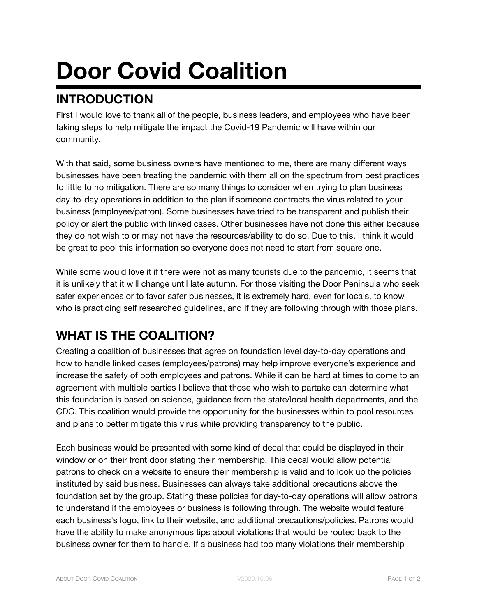# **Door Covid Coalition**

### **INTRODUCTION**

First I would love to thank all of the people, business leaders, and employees who have been taking steps to help mitigate the impact the Covid-19 Pandemic will have within our community.

With that said, some business owners have mentioned to me, there are many different ways businesses have been treating the pandemic with them all on the spectrum from best practices to little to no mitigation. There are so many things to consider when trying to plan business day-to-day operations in addition to the plan if someone contracts the virus related to your business (employee/patron). Some businesses have tried to be transparent and publish their policy or alert the public with linked cases. Other businesses have not done this either because they do not wish to or may not have the resources/ability to do so. Due to this, I think it would be great to pool this information so everyone does not need to start from square one.

While some would love it if there were not as many tourists due to the pandemic, it seems that it is unlikely that it will change until late autumn. For those visiting the Door Peninsula who seek safer experiences or to favor safer businesses, it is extremely hard, even for locals, to know who is practicing self researched guidelines, and if they are following through with those plans.

#### **WHAT IS THE COALITION?**

Creating a coalition of businesses that agree on foundation level day-to-day operations and how to handle linked cases (employees/patrons) may help improve everyone's experience and increase the safety of both employees and patrons. While it can be hard at times to come to an agreement with multiple parties I believe that those who wish to partake can determine what this foundation is based on science, guidance from the state/local health departments, and the CDC. This coalition would provide the opportunity for the businesses within to pool resources and plans to better mitigate this virus while providing transparency to the public.

Each business would be presented with some kind of decal that could be displayed in their window or on their front door stating their membership. This decal would allow potential patrons to check on a website to ensure their membership is valid and to look up the policies instituted by said business. Businesses can always take additional precautions above the foundation set by the group. Stating these policies for day-to-day operations will allow patrons to understand if the employees or business is following through. The website would feature each business's logo, link to their website, and additional precautions/policies. Patrons would have the ability to make anonymous tips about violations that would be routed back to the business owner for them to handle. If a business had too many violations their membership